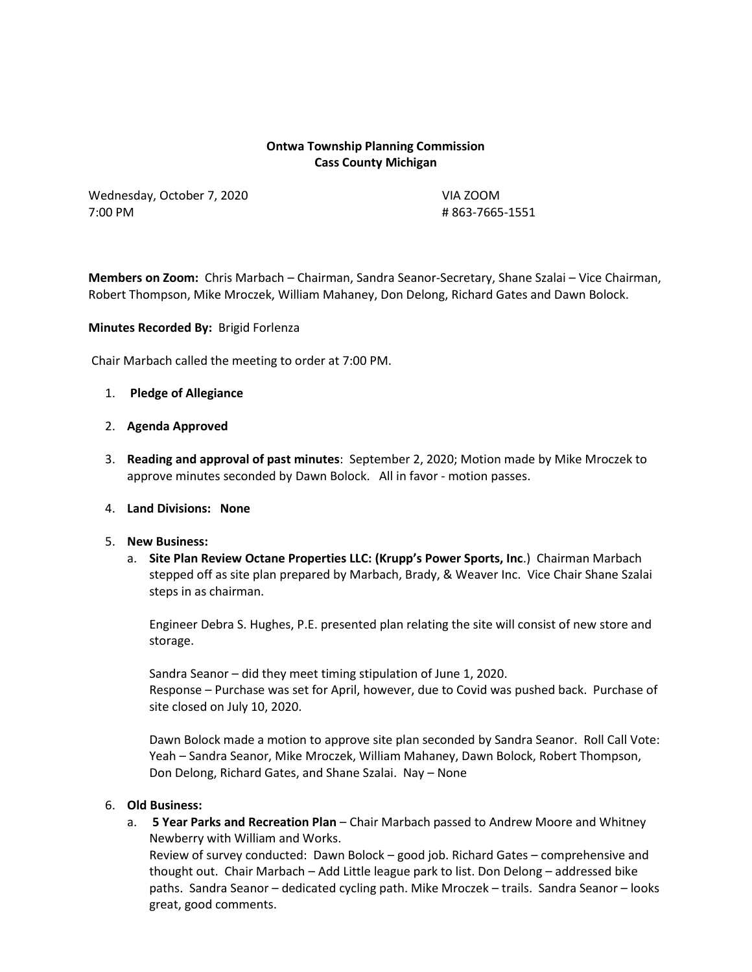## **Ontwa Township Planning Commission Cass County Michigan**

Wednesday, October 7, 2020 VIA ZOOM 7:00 PM # 863-7665-1551

**Members on Zoom:** Chris Marbach – Chairman, Sandra Seanor-Secretary, Shane Szalai – Vice Chairman, Robert Thompson, Mike Mroczek, William Mahaney, Don Delong, Richard Gates and Dawn Bolock.

**Minutes Recorded By:** Brigid Forlenza

Chair Marbach called the meeting to order at 7:00 PM.

- 1. **Pledge of Allegiance**
- 2. **Agenda Approved**
- 3. **Reading and approval of past minutes**: September 2, 2020; Motion made by Mike Mroczek to approve minutes seconded by Dawn Bolock. All in favor - motion passes.
- 4. **Land Divisions: None**
- 5. **New Business:** 
	- a. **Site Plan Review Octane Properties LLC: (Krupp's Power Sports, Inc**.) Chairman Marbach stepped off as site plan prepared by Marbach, Brady, & Weaver Inc. Vice Chair Shane Szalai steps in as chairman.

Engineer Debra S. Hughes, P.E. presented plan relating the site will consist of new store and storage.

Sandra Seanor – did they meet timing stipulation of June 1, 2020. Response – Purchase was set for April, however, due to Covid was pushed back. Purchase of site closed on July 10, 2020.

Dawn Bolock made a motion to approve site plan seconded by Sandra Seanor. Roll Call Vote: Yeah – Sandra Seanor, Mike Mroczek, William Mahaney, Dawn Bolock, Robert Thompson, Don Delong, Richard Gates, and Shane Szalai. Nay – None

## 6. **Old Business:**

a. **5 Year Parks and Recreation Plan** – Chair Marbach passed to Andrew Moore and Whitney Newberry with William and Works.

Review of survey conducted: Dawn Bolock – good job. Richard Gates – comprehensive and thought out. Chair Marbach – Add Little league park to list. Don Delong – addressed bike paths. Sandra Seanor – dedicated cycling path. Mike Mroczek – trails. Sandra Seanor – looks great, good comments.